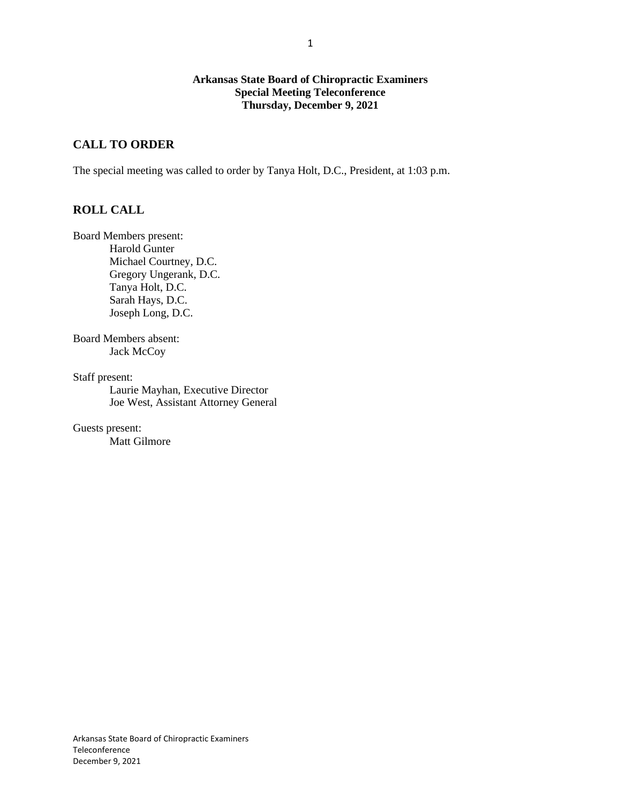#### **Arkansas State Board of Chiropractic Examiners Special Meeting Teleconference Thursday, December 9, 2021**

# **CALL TO ORDER**

The special meeting was called to order by Tanya Holt, D.C., President, at 1:03 p.m.

# **ROLL CALL**

Board Members present: Harold Gunter Michael Courtney, D.C. Gregory Ungerank, D.C. Tanya Holt, D.C. Sarah Hays, D.C. Joseph Long, D.C.

Board Members absent: Jack McCoy

Staff present:

Laurie Mayhan, Executive Director Joe West, Assistant Attorney General

Guests present: Matt Gilmore 1